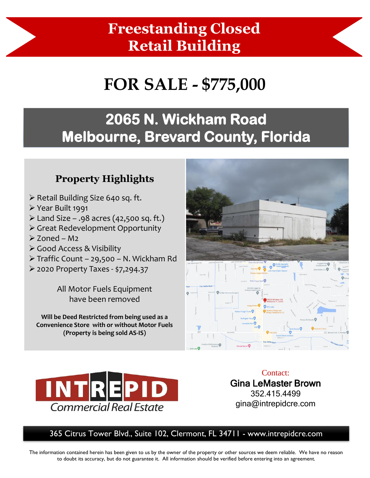## **Freestanding Closed Retail Building**

# **FOR SALE - \$775,000**

### **2065 N. Wickham Road Melbourne, Brevard County, Florida**

### **Property Highlights**

- ➢ Retail Building Size 640 sq. ft.
- ➢ Year Built 1991
- $\triangleright$  Land Size .98 acres (42,500 sq. ft.)
- ➢ Great Redevelopment Opportunity
- ➢ Zoned M2
- ➢ Good Access & Visibility
- ➢ Traffic Count 29,500 N. Wickham Rd
- ➢ 2020 Property Taxes \$7,294.37

All Motor Fuels Equipment have been removed

**Will be Deed Restricted from being used as a Convenience Store with or without Motor Fuels (Property is being sold AS-IS)** 





Contact: Gina LeMaster Brown 352.415.4499 gina@intrepidcre.com

#### 365 Citrus Tower Blvd., Suite 102, Clermont, FL 34711 - www.intrepidcre.com

The information contained herein has been given to us by the owner of the property or other sources we deem reliable. We have no reason to doubt its accuracy, but do not guarantee it. All information should be verified before entering into an agreement.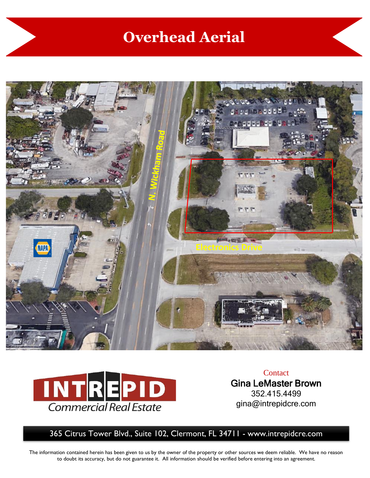### **Overhead Aerial**





**Contact** Gina LeMaster Brown 352.415.4499 gina@intrepidcre.com

365 Citrus Tower Blvd., Suite 102, Clermont, FL 34711 - www.intrepidcre.com

The information contained herein has been given to us by the owner of the property or other sources we deem reliable. We have no reason to doubt its accuracy, but do not guarantee it. All information should be verified before entering into an agreement.